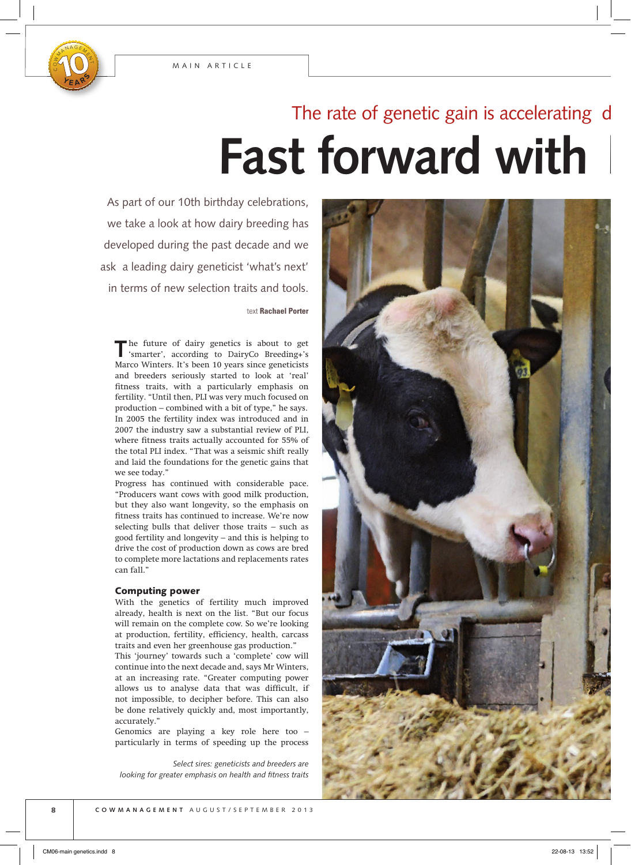

## **Fast forward with** The rate of genetic gain is accelerating

As part of our 10th birthday celebrations, we take a look at how dairy breeding has developed during the past decade and we ask a leading dairy geneticist 'what's next' in terms of new selection traits and tools.

text **Rachael Porter**

**T**he future of dairy genetics is about to get 'smarter', according to DairyCo Breeding+'s Marco Winters. It's been 10 years since geneticists and breeders seriously started to look at 'real' fitness traits, with a particularly emphasis on fertility. "Until then, PLI was very much focused on production – combined with a bit of type," he says. In 2005 the fertility index was introduced and in 2007 the industry saw a substantial review of PLI, where fitness traits actually accounted for 55% of the total PLI index. "That was a seismic shift really and laid the foundations for the genetic gains that we see today."

Progress has continued with considerable pace. "Producers want cows with good milk production, but they also want longevity, so the emphasis on fitness traits has continued to increase. We're now selecting bulls that deliver those traits – such as good fertility and longevity – and this is helping to drive the cost of production down as cows are bred to complete more lactations and replacements rates can fall."

#### Computing power

With the genetics of fertility much improved already, health is next on the list. "But our focus will remain on the complete cow. So we're looking at production, fertility, efficiency, health, carcass traits and even her greenhouse gas production."

This 'journey' towards such a 'complete' cow will continue into the next decade and, says Mr Winters, at an increasing rate. "Greater computing power allows us to analyse data that was difficult, if not impossible, to decipher before. This can also be done relatively quickly and, most importantly, accurately."

Genomics are playing a key role here too – particularly in terms of speeding up the process

*Select sires: geneticists and breeders are looking for greater emphasis on health and fitness traits* 

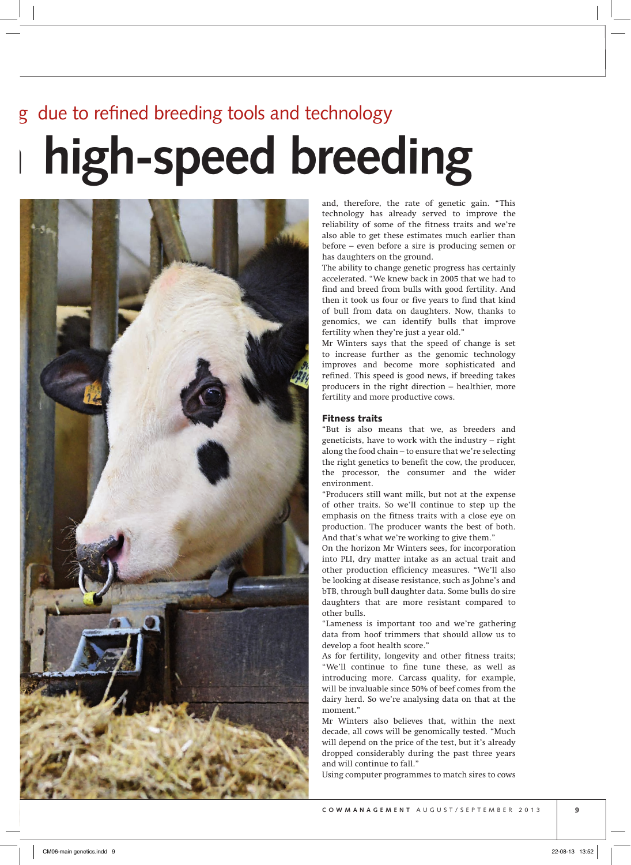# high-speed breeding due to refined breeding tools and technology



and, therefore, the rate of genetic gain. "This technology has already served to improve the reliability of some of the fitness traits and we're also able to get these estimates much earlier than before – even before a sire is producing semen or has daughters on the ground.

The ability to change genetic progress has certainly accelerated. "We knew back in 2005 that we had to find and breed from bulls with good fertility. And then it took us four or five years to find that kind of bull from data on daughters. Now, thanks to genomics, we can identify bulls that improve fertility when they're just a year old."

Mr Winters says that the speed of change is set to increase further as the genomic technology improves and become more sophisticated and refined. This speed is good news, if breeding takes producers in the right direction – healthier, more fertility and more productive cows.

#### Fitness traits

"But is also means that we, as breeders and geneticists, have to work with the industry – right along the food chain – to ensure that we're selecting the right genetics to benefit the cow, the producer, the processor, the consumer and the wider environment.

"Producers still want milk, but not at the expense of other traits. So we'll continue to step up the emphasis on the fitness traits with a close eye on production. The producer wants the best of both. And that's what we're working to give them."

On the horizon Mr Winters sees, for incorporation into PLI, dry matter intake as an actual trait and other production efficiency measures. "We'll also be looking at disease resistance, such as Johne's and bTB, through bull daughter data. Some bulls do sire daughters that are more resistant compared to other bulls.

"Lameness is important too and we're gathering data from hoof trimmers that should allow us to develop a foot health score."

As for fertility, longevity and other fitness traits; "We'll continue to fine tune these, as well as introducing more. Carcass quality, for example, will be invaluable since 50% of beef comes from the dairy herd. So we're analysing data on that at the moment."

Mr Winters also believes that, within the next decade, all cows will be genomically tested. "Much will depend on the price of the test, but it's already dropped considerably during the past three years and will continue to fall."

Using computer programmes to match sires to cows